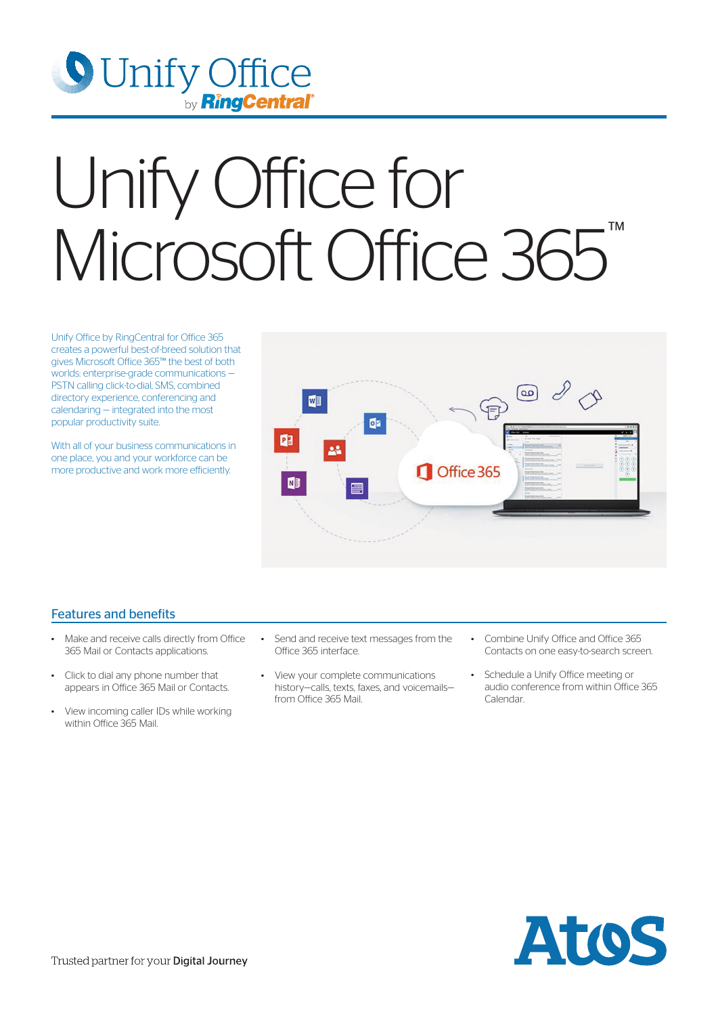

## Unify Office for Microsoft Office 365<sup>™</sup>

Unify Office by RingCentral for Office 365 creates a powerful best-of-breed solution that gives Microsoft Office 365™ the best of both worlds: enterprise-grade communications — PSTN calling click-to-dial, SMS, combined directory experience, conferencing and calendaring — integrated into the most popular productivity suite.

With all of your business communications in one place, you and your workforce can be more productive and work more efficiently.



## Features and benefits

- Make and receive calls directly from Office 365 Mail or Contacts applications.
- Click to dial any phone number that appears in Office 365 Mail or Contacts.
- View incoming caller IDs while working within Office 365 Mail.
- Send and receive text messages from the Office 365 interface.
- View your complete communications history—calls, texts, faxes, and voicemails from Office 365 Mail.
- Combine Unify Office and Office 365 Contacts on one easy-to-search screen.
- Schedule a Unify Office meeting or audio conference from within Office 365 Calendar.